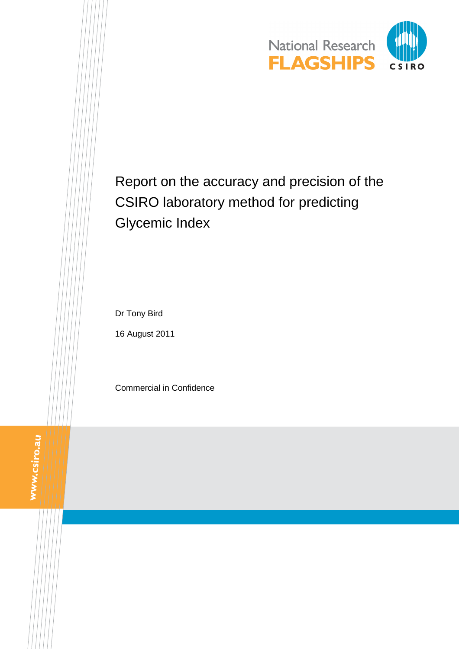

# Report on the accuracy and precision of the CSIRO laboratory method for predicting Glycemic Index

Dr Tony Bird

16 August 2011

Commercial in Confidence

WWW.csiro.au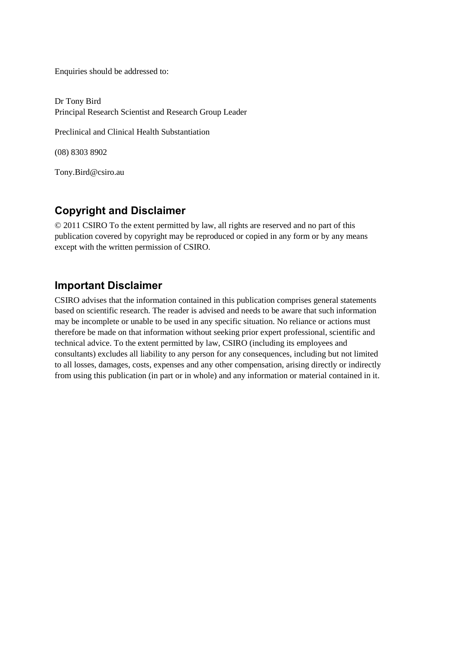Enquiries should be addressed to:

Dr Tony Bird Principal Research Scientist and Research Group Leader

Preclinical and Clinical Health Substantiation

(08) 8303 8902

Tony.Bird@csiro.au

#### **Copyright and Disclaimer**

© 2011 CSIRO To the extent permitted by law, all rights are reserved and no part of this publication covered by copyright may be reproduced or copied in any form or by any means except with the written permission of CSIRO.

#### **Important Disclaimer**

CSIRO advises that the information contained in this publication comprises general statements based on scientific research. The reader is advised and needs to be aware that such information may be incomplete or unable to be used in any specific situation. No reliance or actions must therefore be made on that information without seeking prior expert professional, scientific and technical advice. To the extent permitted by law, CSIRO (including its employees and consultants) excludes all liability to any person for any consequences, including but not limited to all losses, damages, costs, expenses and any other compensation, arising directly or indirectly from using this publication (in part or in whole) and any information or material contained in it.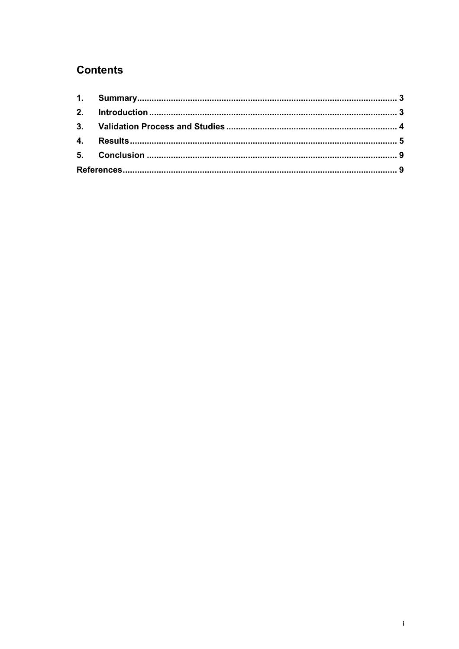## **Contents**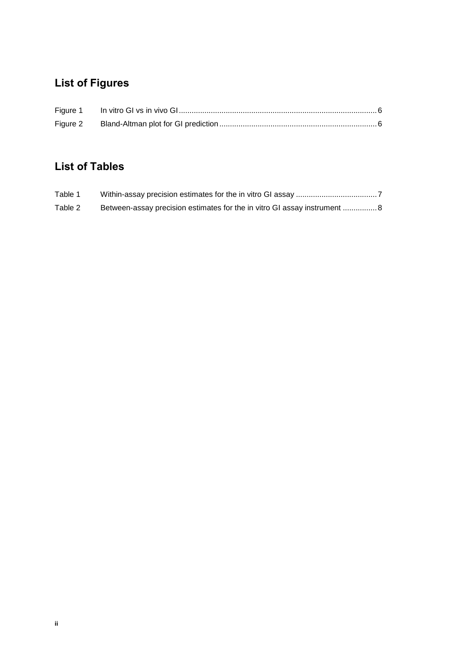## **List of Figures**

## **List of Tables**

| Table 1 |                                                                           |
|---------|---------------------------------------------------------------------------|
| Table 2 | Between-assay precision estimates for the in vitro GI assay instrument  8 |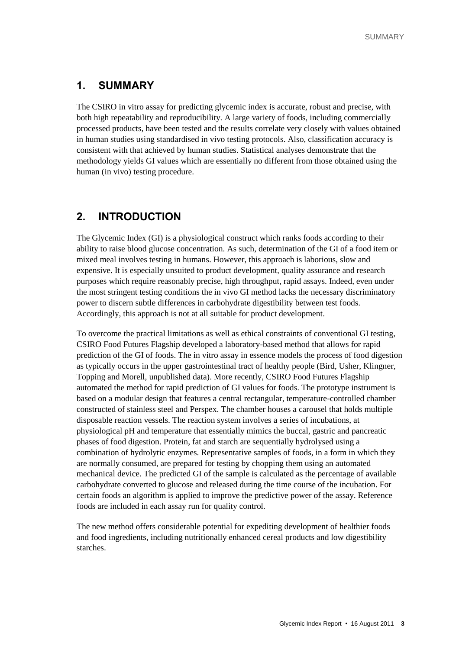#### <span id="page-4-0"></span>**1. SUMMARY**

The CSIRO in vitro assay for predicting glycemic index is accurate, robust and precise, with both high repeatability and reproducibility. A large variety of foods, including commercially processed products, have been tested and the results correlate very closely with values obtained in human studies using standardised in vivo testing protocols. Also, classification accuracy is consistent with that achieved by human studies. Statistical analyses demonstrate that the methodology yields GI values which are essentially no different from those obtained using the human (in vivo) testing procedure.

#### <span id="page-4-1"></span>**2. INTRODUCTION**

The Glycemic Index (GI) is a physiological construct which ranks foods according to their ability to raise blood glucose concentration. As such, determination of the GI of a food item or mixed meal involves testing in humans. However, this approach is laborious, slow and expensive. It is especially unsuited to product development, quality assurance and research purposes which require reasonably precise, high throughput, rapid assays. Indeed, even under the most stringent testing conditions the in vivo GI method lacks the necessary discriminatory power to discern subtle differences in carbohydrate digestibility between test foods. Accordingly, this approach is not at all suitable for product development.

To overcome the practical limitations as well as ethical constraints of conventional GI testing, CSIRO Food Futures Flagship developed a laboratory-based method that allows for rapid prediction of the GI of foods. The in vitro assay in essence models the process of food digestion as typically occurs in the upper gastrointestinal tract of healthy people (Bird, Usher, Klingner, Topping and Morell, unpublished data). More recently, CSIRO Food Futures Flagship automated the method for rapid prediction of GI values for foods. The prototype instrument is based on a modular design that features a central rectangular, temperature-controlled chamber constructed of stainless steel and Perspex. The chamber houses a carousel that holds multiple disposable reaction vessels. The reaction system involves a series of incubations, at physiological pH and temperature that essentially mimics the buccal, gastric and pancreatic phases of food digestion. Protein, fat and starch are sequentially hydrolysed using a combination of hydrolytic enzymes. Representative samples of foods, in a form in which they are normally consumed, are prepared for testing by chopping them using an automated mechanical device. The predicted GI of the sample is calculated as the percentage of available carbohydrate converted to glucose and released during the time course of the incubation. For certain foods an algorithm is applied to improve the predictive power of the assay. Reference foods are included in each assay run for quality control.

The new method offers considerable potential for expediting development of healthier foods and food ingredients, including nutritionally enhanced cereal products and low digestibility starches.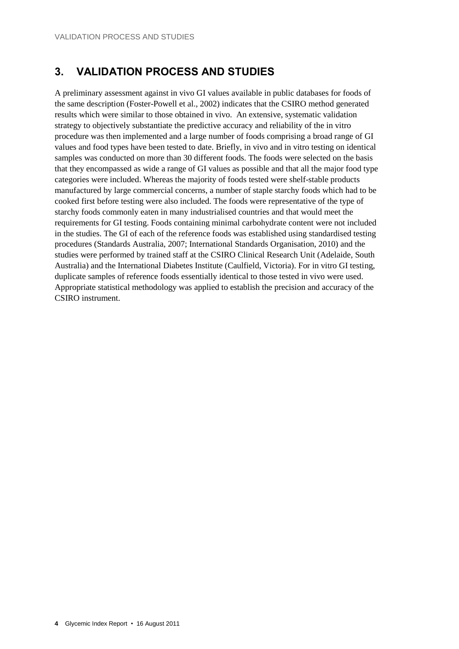### <span id="page-5-0"></span>**3. VALIDATION PROCESS AND STUDIES**

A preliminary assessment against in vivo GI values available in public databases for foods of the same description (Foster-Powell et al., 2002) indicates that the CSIRO method generated results which were similar to those obtained in vivo. An extensive, systematic validation strategy to objectively substantiate the predictive accuracy and reliability of the in vitro procedure was then implemented and a large number of foods comprising a broad range of GI values and food types have been tested to date. Briefly, in vivo and in vitro testing on identical samples was conducted on more than 30 different foods. The foods were selected on the basis that they encompassed as wide a range of GI values as possible and that all the major food type categories were included. Whereas the majority of foods tested were shelf-stable products manufactured by large commercial concerns, a number of staple starchy foods which had to be cooked first before testing were also included. The foods were representative of the type of starchy foods commonly eaten in many industrialised countries and that would meet the requirements for GI testing. Foods containing minimal carbohydrate content were not included in the studies. The GI of each of the reference foods was established using standardised testing procedures (Standards Australia, 2007; International Standards Organisation, 2010) and the studies were performed by trained staff at the CSIRO Clinical Research Unit (Adelaide, South Australia) and the International Diabetes Institute (Caulfield, Victoria). For in vitro GI testing, duplicate samples of reference foods essentially identical to those tested in vivo were used. Appropriate statistical methodology was applied to establish the precision and accuracy of the CSIRO instrument.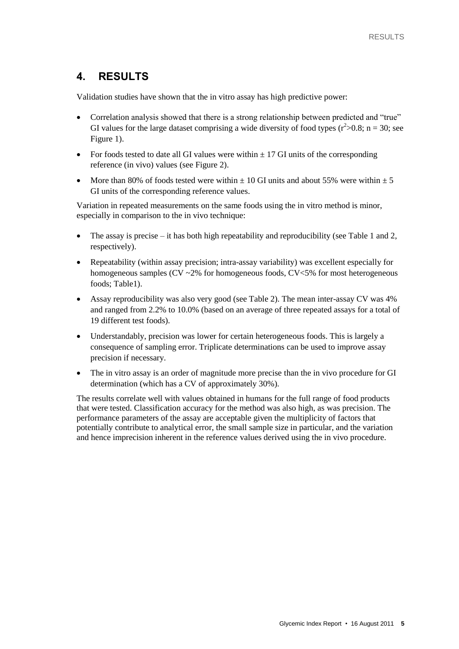#### <span id="page-6-0"></span>**4. RESULTS**

Validation studies have shown that the in vitro assay has high predictive power:

- Correlation analysis showed that there is a strong relationship between predicted and "true" GI values for the large dataset comprising a wide diversity of food types  $(r^2>0.8; n = 30;$  see Figure 1).
- For foods tested to date all GI values were within  $\pm$  17 GI units of the corresponding reference (in vivo) values (see Figure 2).
- More than 80% of foods tested were within  $\pm$  10 GI units and about 55% were within  $\pm$  5 GI units of the corresponding reference values.

Variation in repeated measurements on the same foods using the in vitro method is minor, especially in comparison to the in vivo technique:

- The assay is precise it has both high repeatability and reproducibility (see Table 1 and 2, respectively).
- Repeatability (within assay precision; intra-assay variability) was excellent especially for homogeneous samples ( $CV \sim 2\%$  for homogeneous foods,  $CV \sim 5\%$  for most heterogeneous foods; Table1).
- Assay reproducibility was also very good (see Table 2). The mean inter-assay CV was 4% and ranged from 2.2% to 10.0% (based on an average of three repeated assays for a total of 19 different test foods).
- Understandably, precision was lower for certain heterogeneous foods. This is largely a consequence of sampling error. Triplicate determinations can be used to improve assay precision if necessary.
- The in vitro assay is an order of magnitude more precise than the in vivo procedure for GI determination (which has a CV of approximately 30%).

The results correlate well with values obtained in humans for the full range of food products that were tested. Classification accuracy for the method was also high, as was precision. The performance parameters of the assay are acceptable given the multiplicity of factors that potentially contribute to analytical error, the small sample size in particular, and the variation and hence imprecision inherent in the reference values derived using the in vivo procedure.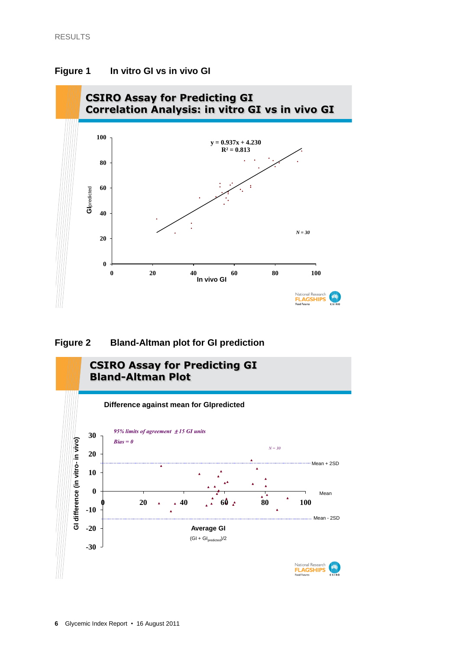

#### <span id="page-7-0"></span>**Figure 1 In vitro GI vs in vivo GI**

#### <span id="page-7-1"></span>**Figure 2 Bland-Altman plot for GI prediction**

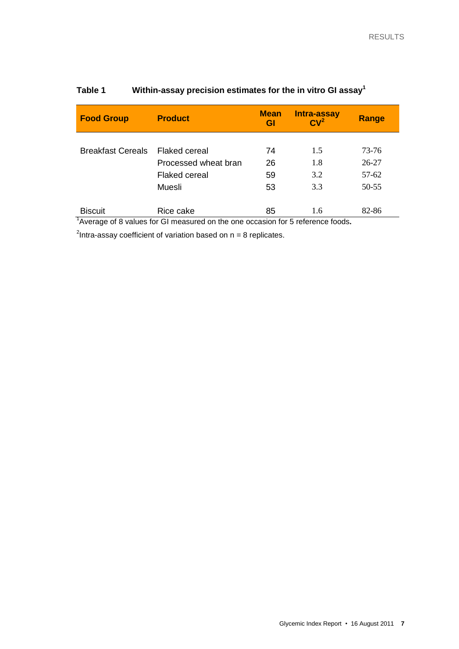| <b>Food Group</b>        | <b>Product</b>       | <b>Mean</b> | Intra-assay                     | Range     |  |
|--------------------------|----------------------|-------------|---------------------------------|-----------|--|
|                          |                      | Gl          | CV <sup>2</sup>                 |           |  |
|                          |                      |             |                                 |           |  |
| <b>Breakfast Cereals</b> | <b>Flaked cereal</b> | 74          | 1.5                             | 73-76     |  |
|                          | Processed wheat bran | 26          | 1.8                             | $26 - 27$ |  |
|                          | Flaked cereal        | 59          | 3.2                             | 57-62     |  |
|                          | Muesli               | 53          | 3.3                             | 50-55     |  |
|                          |                      |             |                                 |           |  |
| <b>Biscuit</b><br>न -    | Rice cake            | 85<br>.     | 1.6<br>$\overline{\phantom{a}}$ | 82-86     |  |

#### <span id="page-8-0"></span>**Table 1 Within-assay precision estimates for the in vitro GI assay<sup>1</sup>**

1 Average of 8 values for GI measured on the one occasion for 5 reference foods*.* 

<sup>2</sup>Intra-assay coefficient of variation based on  $n = 8$  replicates.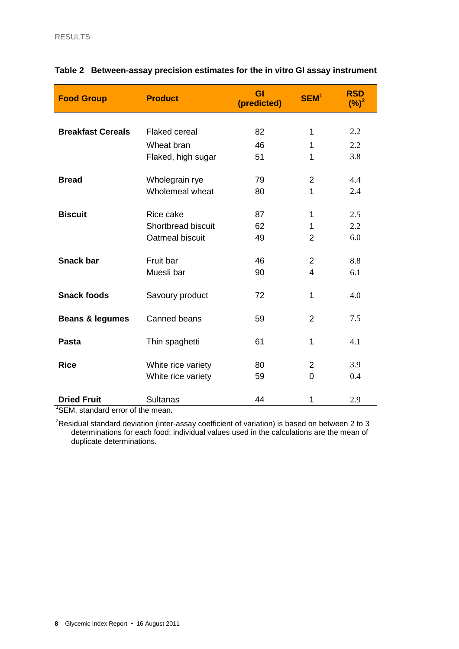| <b>Food Group</b>          | <b>Product</b>       | GI<br>(predicted) | SEM <sup>1</sup> | <b>RSD</b><br>$(\%)^2$ |
|----------------------------|----------------------|-------------------|------------------|------------------------|
|                            |                      |                   |                  |                        |
| <b>Breakfast Cereals</b>   | <b>Flaked cereal</b> | 82                | 1                | 2.2                    |
|                            | Wheat bran           | 46                | 1                | 2.2                    |
|                            | Flaked, high sugar   | 51                | 1                | 3.8                    |
| <b>Bread</b>               | Wholegrain rye       | 79                | $\overline{2}$   | 4.4                    |
|                            | Wholemeal wheat      | 80                | 1                | 2.4                    |
| <b>Biscuit</b>             | Rice cake            | 87                | $\mathbf 1$      | 2.5                    |
|                            | Shortbread biscuit   | 62                | 1                | 2.2                    |
|                            | Oatmeal biscuit      | 49                | $\overline{2}$   | 6.0                    |
| <b>Snack bar</b>           | Fruit bar            | 46                | $\overline{2}$   | 8.8                    |
|                            | Muesli bar           | 90                | 4                | 6.1                    |
| <b>Snack foods</b>         | Savoury product      | 72                | 1                | 4.0                    |
| <b>Beans &amp; legumes</b> | Canned beans         | 59                | $\overline{2}$   | 7.5                    |
| <b>Pasta</b>               | Thin spaghetti       | 61                | 1                | 4.1                    |
| <b>Rice</b>                | White rice variety   | 80                | $\overline{2}$   | 3.9                    |
|                            | White rice variety   | 59                | 0                | 0.4                    |
| <b>Dried Fruit</b>         | <b>Sultanas</b>      | 44                | 1                | 2.9                    |

#### <span id="page-9-0"></span>**Table 2 Between-assay precision estimates for the in vitro GI assay instrument**

**1** SEM, standard error of the mean*.*

<sup>2</sup>Residual standard deviation (inter-assay coefficient of variation) is based on between 2 to 3 determinations for each food; individual values used in the calculations are the mean of duplicate determinations.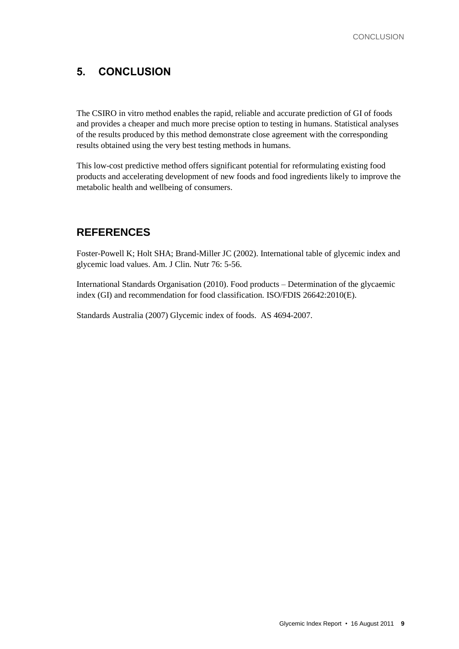### <span id="page-10-0"></span>**5. CONCLUSION**

The CSIRO in vitro method enables the rapid, reliable and accurate prediction of GI of foods and provides a cheaper and much more precise option to testing in humans. Statistical analyses of the results produced by this method demonstrate close agreement with the corresponding results obtained using the very best testing methods in humans.

This low-cost predictive method offers significant potential for reformulating existing food products and accelerating development of new foods and food ingredients likely to improve the metabolic health and wellbeing of consumers.

#### <span id="page-10-1"></span>**REFERENCES**

Foster-Powell K; Holt SHA; Brand-Miller JC (2002). International table of glycemic index and glycemic load values. Am. J Clin. Nutr 76: 5-56.

International Standards Organisation (2010). Food products – Determination of the glycaemic index (GI) and recommendation for food classification. ISO/FDIS 26642:2010(E).

Standards Australia (2007) Glycemic index of foods. AS 4694-2007.